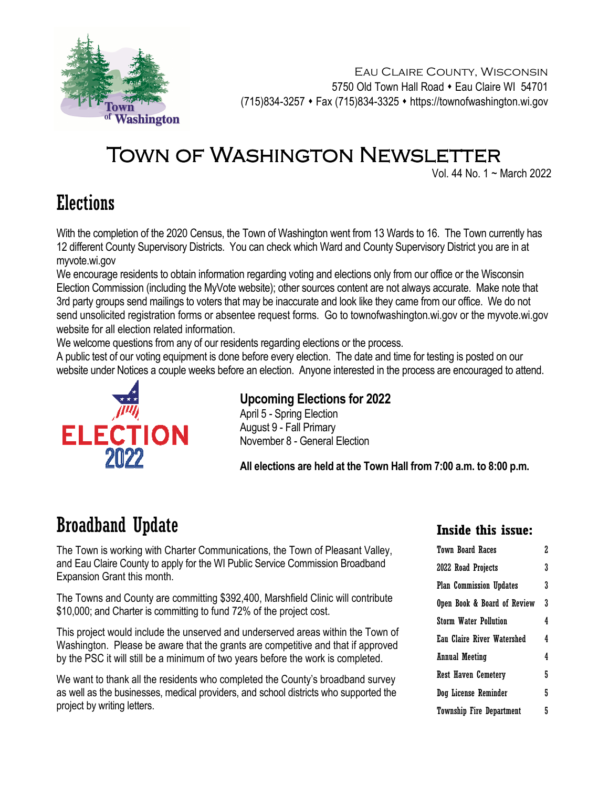

Eau Claire County, Wisconsin 5750 Old Town Hall Road • Eau Claire WI 54701 (715)834-3257 Fax (715)834-3325 https://townofwashington.wi.gov

# TOWN OF WASHINGTON NEWSLETTER

Vol. 44 No. 1 ~ March 2022

## Elections

With the completion of the 2020 Census, the Town of Washington went from 13 Wards to 16. The Town currently has 12 different County Supervisory Districts. You can check which Ward and County Supervisory District you are in at myvote.wi.gov

We encourage residents to obtain information regarding voting and elections only from our office or the Wisconsin Election Commission (including the MyVote website); other sources content are not always accurate. Make note that 3rd party groups send mailings to voters that may be inaccurate and look like they came from our office. We do not send unsolicited registration forms or absentee request forms. Go to townofwashington.wi.gov or the myvote.wi.gov website for all election related information.

We welcome questions from any of our residents regarding elections or the process.

A public test of our voting equipment is done before every election. The date and time for testing is posted on our website under Notices a couple weeks before an election. Anyone interested in the process are encouraged to attend.



### **Upcoming Elections for 2022**

April 5 - Spring Election August 9 - Fall Primary November 8 - General Election

**All elections are held at the Town Hall from 7:00 a.m. to 8:00 p.m.** 

## Broadband Update

The Town is working with Charter Communications, the Town of Pleasant Valley, and Eau Claire County to apply for the WI Public Service Commission Broadband Expansion Grant this month.

The Towns and County are committing \$392,400, Marshfield Clinic will contribute \$10,000; and Charter is committing to fund 72% of the project cost.

This project would include the unserved and underserved areas within the Town of Washington. Please be aware that the grants are competitive and that if approved by the PSC it will still be a minimum of two years before the work is completed.

We want to thank all the residents who completed the County's broadband survey as well as the businesses, medical providers, and school districts who supported the project by writing letters.

### **Inside this issue:**

| Town Board Races                  | 2. |  |
|-----------------------------------|----|--|
| 2022 Road Projects                | 3  |  |
| <b>Plan Commission Updates</b>    | 3  |  |
| Open Book & Board of Review       | 3  |  |
| <b>Storm Water Pollution</b>      | 4  |  |
| <b>Eau Claire River Watershed</b> | 4  |  |
| <b>Annual Meeting</b>             |    |  |
| Rest Haven Cemetery               |    |  |
| Dog License Reminder              |    |  |
| <b>Township Fire Department</b>   |    |  |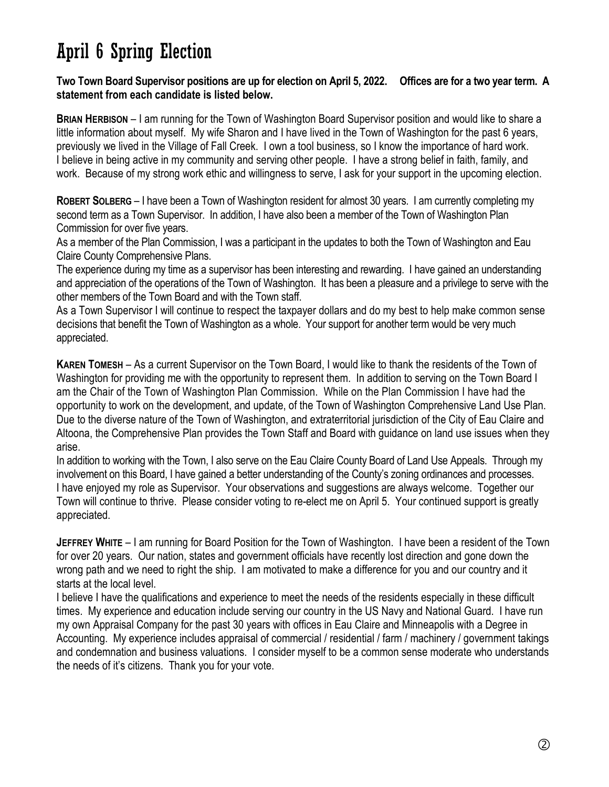## April 6 Spring Election

### **Two Town Board Supervisor positions are up for election on April 5, 2022. Offices are for a two year term. A statement from each candidate is listed below.**

**BRIAN HERBISON** – I am running for the Town of Washington Board Supervisor position and would like to share a little information about myself. My wife Sharon and I have lived in the Town of Washington for the past 6 years, previously we lived in the Village of Fall Creek. I own a tool business, so I know the importance of hard work. I believe in being active in my community and serving other people. I have a strong belief in faith, family, and work. Because of my strong work ethic and willingness to serve, I ask for your support in the upcoming election.

**ROBERT SOLBERG** – I have been a Town of Washington resident for almost 30 years. I am currently completing my second term as a Town Supervisor. In addition, I have also been a member of the Town of Washington Plan Commission for over five years.

As a member of the Plan Commission, I was a participant in the updates to both the Town of Washington and Eau Claire County Comprehensive Plans.

The experience during my time as a supervisor has been interesting and rewarding. I have gained an understanding and appreciation of the operations of the Town of Washington. It has been a pleasure and a privilege to serve with the other members of the Town Board and with the Town staff.

As a Town Supervisor I will continue to respect the taxpayer dollars and do my best to help make common sense decisions that benefit the Town of Washington as a whole. Your support for another term would be very much appreciated.

**KAREN TOMESH** – As a current Supervisor on the Town Board, I would like to thank the residents of the Town of Washington for providing me with the opportunity to represent them. In addition to serving on the Town Board I am the Chair of the Town of Washington Plan Commission. While on the Plan Commission I have had the opportunity to work on the development, and update, of the Town of Washington Comprehensive Land Use Plan. Due to the diverse nature of the Town of Washington, and extraterritorial jurisdiction of the City of Eau Claire and Altoona, the Comprehensive Plan provides the Town Staff and Board with guidance on land use issues when they arise.

In addition to working with the Town, I also serve on the Eau Claire County Board of Land Use Appeals. Through my involvement on this Board, I have gained a better understanding of the County's zoning ordinances and processes. I have enjoyed my role as Supervisor. Your observations and suggestions are always welcome. Together our Town will continue to thrive. Please consider voting to re-elect me on April 5. Your continued support is greatly appreciated.

**JEFFREY WHITE** – I am running for Board Position for the Town of Washington. I have been a resident of the Town for over 20 years. Our nation, states and government officials have recently lost direction and gone down the wrong path and we need to right the ship. I am motivated to make a difference for you and our country and it starts at the local level.

I believe I have the qualifications and experience to meet the needs of the residents especially in these difficult times. My experience and education include serving our country in the US Navy and National Guard. I have run my own Appraisal Company for the past 30 years with offices in Eau Claire and Minneapolis with a Degree in Accounting. My experience includes appraisal of commercial / residential / farm / machinery / government takings and condemnation and business valuations. I consider myself to be a common sense moderate who understands the needs of it's citizens. Thank you for your vote.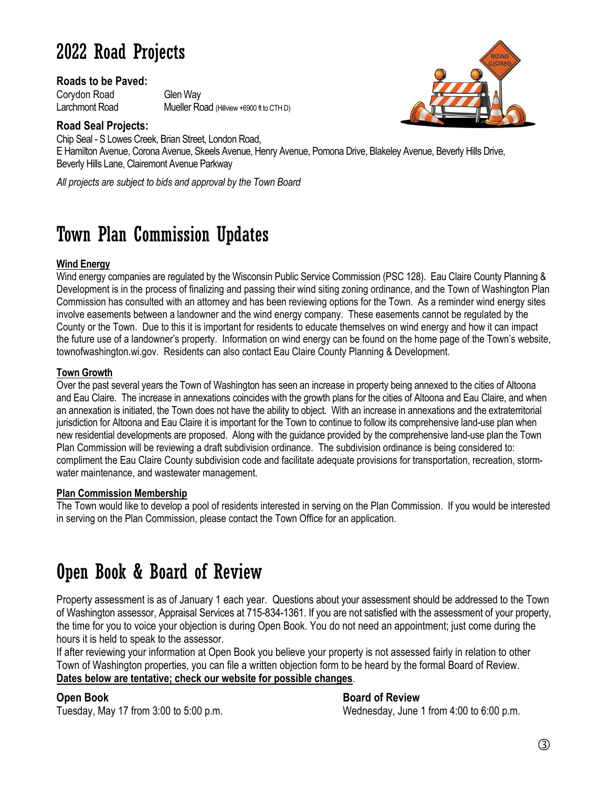## 2022 Road Projects

### **Roads to be Paved:**

Corydon Road Glen Way Larchmont Road Mueller Road (Hillview +6900 ft to CTH D)

### **Road Seal Projects:**

Chip Seal - S Lowes Creek, Brian Street, London Road, E Hamilton Avenue, Corona Avenue, Skeels Avenue, Henry Avenue, Pomona Drive, Blakeley Avenue, Beverly Hills Drive, Beverly Hills Lane, Clairemont Avenue Parkway

*All projects are subject to bids and approval by the Town Board*

## Town Plan Commission Updates

### **Wind Energy**

Wind energy companies are regulated by the Wisconsin Public Service Commission (PSC 128). Eau Claire County Planning & Development is in the process of finalizing and passing their wind siting zoning ordinance, and the Town of Washington Plan Commission has consulted with an attorney and has been reviewing options for the Town. As a reminder wind energy sites involve easements between a landowner and the wind energy company. These easements cannot be regulated by the County or the Town. Due to this it is important for residents to educate themselves on wind energy and how it can impact the future use of a landowner's property. Information on wind energy can be found on the home page of the Town's website, townofwashington.wi.gov. Residents can also contact Eau Claire County Planning & Development.

### **Town Growth**

Over the past several years the Town of Washington has seen an increase in property being annexed to the cities of Altoona and Eau Claire. The increase in annexations coincides with the growth plans for the cities of Altoona and Eau Claire, and when an annexation is initiated, the Town does not have the ability to object. With an increase in annexations and the extraterritorial jurisdiction for Altoona and Eau Claire it is important for the Town to continue to follow its comprehensive land-use plan when new residential developments are proposed. Along with the guidance provided by the comprehensive land-use plan the Town Plan Commission will be reviewing a draft subdivision ordinance. The subdivision ordinance is being considered to: compliment the Eau Claire County subdivision code and facilitate adequate provisions for transportation, recreation, stormwater maintenance, and wastewater management.

### **Plan Commission Membership**

The Town would like to develop a pool of residents interested in serving on the Plan Commission. If you would be interested in serving on the Plan Commission, please contact the Town Office for an application.

## Open Book & Board of Review

Property assessment is as of January 1 each year. Questions about your assessment should be addressed to the Town of Washington assessor, Appraisal Services at 715-834-1361. If you are not satisfied with the assessment of your property, the time for you to voice your objection is during Open Book. You do not need an appointment; just come during the hours it is held to speak to the assessor.

If after reviewing your information at Open Book you believe your property is not assessed fairly in relation to other Town of Washington properties, you can file a written objection form to be heard by the formal Board of Review. **Dates below are tentative; check our website for possible changes**.

### **Open Book Board of Review Board of Review**

Tuesday, May 17 from 3:00 to 5:00 p.m. Wednesday, June 1 from 4:00 to 6:00 p.m.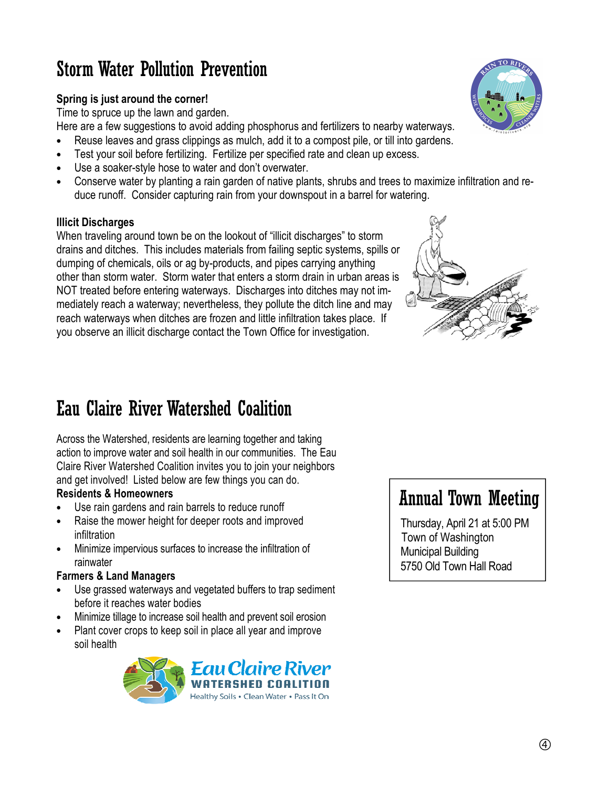## Storm Water Pollution Prevention

### **Spring is just around the corner!**

Time to spruce up the lawn and garden.

Here are a few suggestions to avoid adding phosphorus and fertilizers to nearby waterways.

- Reuse leaves and grass clippings as mulch, add it to a compost pile, or till into gardens.
- Test your soil before fertilizing. Fertilize per specified rate and clean up excess.
- Use a soaker-style hose to water and don't overwater.
- Conserve water by planting a rain garden of native plants, shrubs and trees to maximize infiltration and reduce runoff. Consider capturing rain from your downspout in a barrel for watering.

### **Illicit Discharges**

When traveling around town be on the lookout of "illicit discharges" to storm drains and ditches. This includes materials from failing septic systems, spills or dumping of chemicals, oils or ag by-products, and pipes carrying anything other than storm water. Storm water that enters a storm drain in urban areas is NOT treated before entering waterways. Discharges into ditches may not immediately reach a waterway; nevertheless, they pollute the ditch line and may reach waterways when ditches are frozen and little infiltration takes place. If you observe an illicit discharge contact the Town Office for investigation.



## Eau Claire River Watershed Coalition

Across the Watershed, residents are learning together and taking action to improve water and soil health in our communities. The Eau Claire River Watershed Coalition invites you to join your neighbors and get involved! Listed below are few things you can do.

### **Residents & Homeowners**

- Use rain gardens and rain barrels to reduce runoff
- Raise the mower height for deeper roots and improved infiltration
- Minimize impervious surfaces to increase the infiltration of rainwater

### **Farmers & Land Managers**

- Use grassed waterways and vegetated buffers to trap sediment before it reaches water bodies
- Minimize tillage to increase soil health and prevent soil erosion
- Plant cover crops to keep soil in place all year and improve soil health



## Annual Town Meeting

 Thursday, April 21 at 5:00 PM Town of Washington Municipal Building 5750 Old Town Hall Road

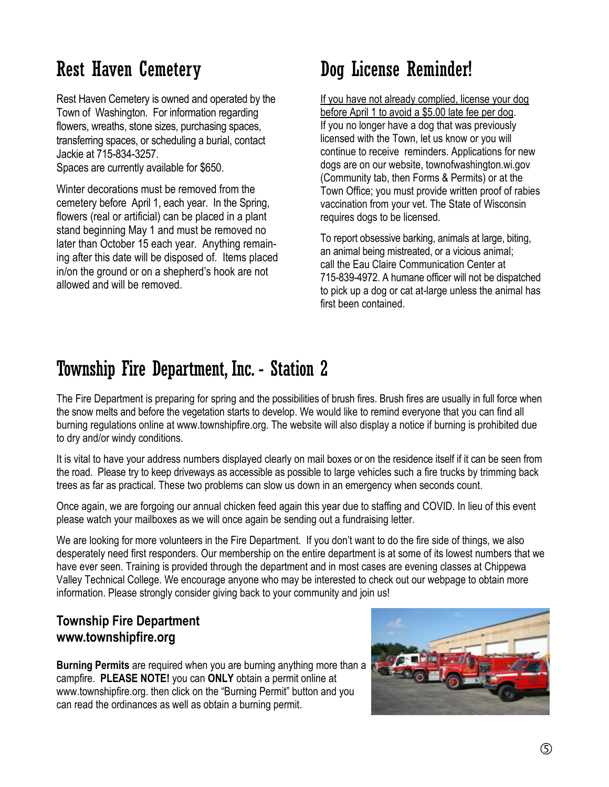## Rest Haven Cemetery

Rest Haven Cemetery is owned and operated by the Town of Washington. For information regarding flowers, wreaths, stone sizes, purchasing spaces, transferring spaces, or scheduling a burial, contact Jackie at 715-834-3257.

Spaces are currently available for \$650.

Winter decorations must be removed from the cemetery before April 1, each year. In the Spring, flowers (real or artificial) can be placed in a plant stand beginning May 1 and must be removed no later than October 15 each year. Anything remaining after this date will be disposed of. Items placed in/on the ground or on a shepherd's hook are not allowed and will be removed.

## Dog License Reminder!

If you have not already complied, license your dog before April 1 to avoid a \$5.00 late fee per dog. If you no longer have a dog that was previously licensed with the Town, let us know or you will continue to receive reminders. Applications for new dogs are on our website, townofwashington.wi.gov (Community tab, then Forms & Permits) or at the Town Office; you must provide written proof of rabies vaccination from your vet. The State of Wisconsin requires dogs to be licensed.

To report obsessive barking, animals at large, biting, an animal being mistreated, or a vicious animal; call the Eau Claire Communication Center at 715-839-4972. A humane officer will not be dispatched to pick up a dog or cat at-large unless the animal has first been contained.

## Township Fire Department, Inc. - Station 2

The Fire Department is preparing for spring and the possibilities of brush fires. Brush fires are usually in full force when the snow melts and before the vegetation starts to develop. We would like to remind everyone that you can find all burning regulations online at www.townshipfire.org. The website will also display a notice if burning is prohibited due to dry and/or windy conditions.

It is vital to have your address numbers displayed clearly on mail boxes or on the residence itself if it can be seen from the road. Please try to keep driveways as accessible as possible to large vehicles such a fire trucks by trimming back trees as far as practical. These two problems can slow us down in an emergency when seconds count.

Once again, we are forgoing our annual chicken feed again this year due to staffing and COVID. In lieu of this event please watch your mailboxes as we will once again be sending out a fundraising letter.

We are looking for more volunteers in the Fire Department. If you don't want to do the fire side of things, we also desperately need first responders. Our membership on the entire department is at some of its lowest numbers that we have ever seen. Training is provided through the department and in most cases are evening classes at Chippewa Valley Technical College. We encourage anyone who may be interested to check out our webpage to obtain more information. Please strongly consider giving back to your community and join us!

### **Township Fire Department www.townshipfire.org**

**Burning Permits** are required when you are burning anything more than a campfire. **PLEASE NOTE!** you can **ONLY** obtain a permit online at www.townshipfire.org. then click on the "Burning Permit" button and you can read the ordinances as well as obtain a burning permit.